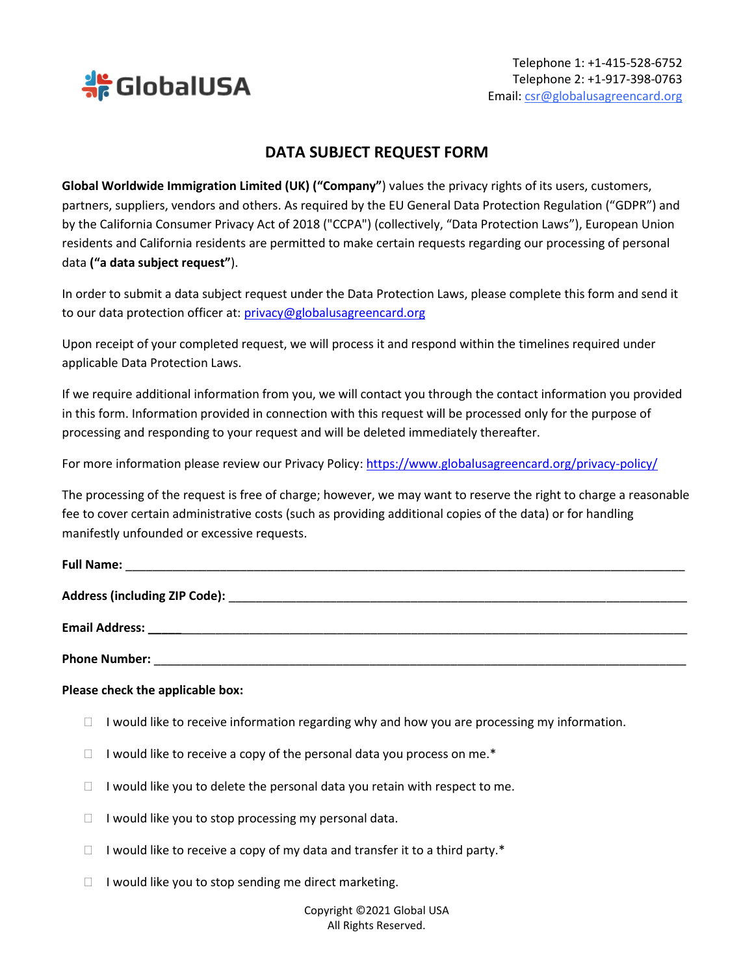

## **DATA SUBJECT REQUEST FORM**

**Global Worldwide Immigration Limited (UK) ("Company"**) values the privacy rights of its users, customers, partners, suppliers, vendors and others. As required by the EU General Data Protection Regulation ("GDPR") and by the California Consumer Privacy Act of 2018 ("CCPA") (collectively, "Data Protection Laws"), European Union residents and California residents are permitted to make certain requests regarding our processing of personal data **("a data subject request"**).

In order to submit a data subject request under the Data Protection Laws, please complete this form and send it to our data protection officer at: [privacy@globalusagreencard.org](mailto:privacy@globalusagreencard.org)

Upon receipt of your completed request, we will process it and respond within the timelines required under applicable Data Protection Laws.

If we require additional information from you, we will contact you through the contact information you provided in this form. Information provided in connection with this request will be processed only for the purpose of processing and responding to your request and will be deleted immediately thereafter.

For more information please review our Privacy Policy[: https://www.globalusagreencard.org/privacy-policy/](https://www.globalusagreencard.org/privacy-policy/)

The processing of the request is free of charge; however, we may want to reserve the right to charge a reasonable fee to cover certain administrative costs (such as providing additional copies of the data) or for handling manifestly unfounded or excessive requests.

| <b>Full Name:</b>             |  |
|-------------------------------|--|
|                               |  |
| Address (including ZIP Code): |  |
| <b>Email Address:</b>         |  |

**Phone Number:** 

## **Please check the applicable box:**

- $\Box$  I would like to receive information regarding why and how you are processing my information.
- $\Box$  I would like to receive a copy of the personal data you process on me.\*
- $\Box$  I would like you to delete the personal data you retain with respect to me.
- $\Box$  I would like you to stop processing my personal data.
- $\Box$  I would like to receive a copy of my data and transfer it to a third party.\*
- $\Box$  I would like you to stop sending me direct marketing.

Copyright ©2021 Global USA All Rights Reserved.